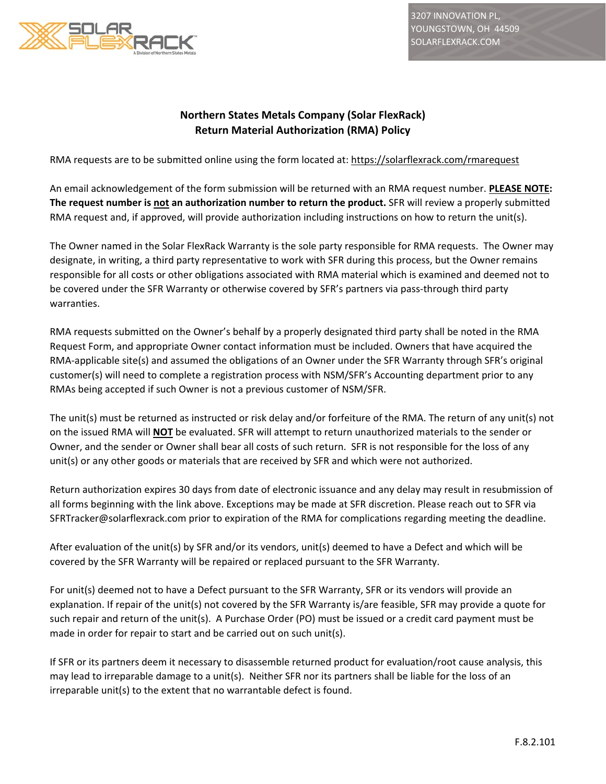

3207 INNOVATION PL, YOUNGSTOWN, OH 44509 SOLARFLEXRACK.COM

## **Northern States Metals Company (Solar FlexRack) Return Material Authorization (RMA) Policy**

RMA requests are to be submitted online using the form located at: https://solarflexrack.com/rmarequest

An email acknowledgement of the form submission will be returned with an RMA request number. **PLEASE NOTE: The request number is not an authorization number to return the product.** SFR will review a properly submitted RMA request and, if approved, will provide authorization including instructions on how to return the unit(s).

The Owner named in the Solar FlexRack Warranty is the sole party responsible for RMA requests. The Owner may designate, in writing, a third party representative to work with SFR during this process, but the Owner remains responsible for all costs or other obligations associated with RMA material which is examined and deemed not to be covered under the SFR Warranty or otherwise covered by SFR's partners via pass-through third party warranties.

RMA requests submitted on the Owner's behalf by a properly designated third party shall be noted in the RMA Request Form, and appropriate Owner contact information must be included. Owners that have acquired the RMA‐applicable site(s) and assumed the obligations of an Owner under the SFR Warranty through SFR's original customer(s) will need to complete a registration process with NSM/SFR's Accounting department prior to any RMAs being accepted if such Owner is not a previous customer of NSM/SFR.

The unit(s) must be returned as instructed or risk delay and/or forfeiture of the RMA. The return of any unit(s) not on the issued RMA will **NOT** be evaluated. SFR will attempt to return unauthorized materials to the sender or Owner, and the sender or Owner shall bear all costs of such return. SFR is not responsible for the loss of any unit(s) or any other goods or materials that are received by SFR and which were not authorized.

Return authorization expires 30 days from date of electronic issuance and any delay may result in resubmission of all forms beginning with the link above. Exceptions may be made at SFR discretion. Please reach out to SFR via SFRTracker@solarflexrack.com prior to expiration of the RMA for complications regarding meeting the deadline.

After evaluation of the unit(s) by SFR and/or its vendors, unit(s) deemed to have a Defect and which will be covered by the SFR Warranty will be repaired or replaced pursuant to the SFR Warranty.

For unit(s) deemed not to have a Defect pursuant to the SFR Warranty, SFR or its vendors will provide an explanation. If repair of the unit(s) not covered by the SFR Warranty is/are feasible, SFR may provide a quote for such repair and return of the unit(s). A Purchase Order (PO) must be issued or a credit card payment must be made in order for repair to start and be carried out on such unit(s).

If SFR or its partners deem it necessary to disassemble returned product for evaluation/root cause analysis, this may lead to irreparable damage to a unit(s). Neither SFR nor its partners shall be liable for the loss of an irreparable unit(s) to the extent that no warrantable defect is found.